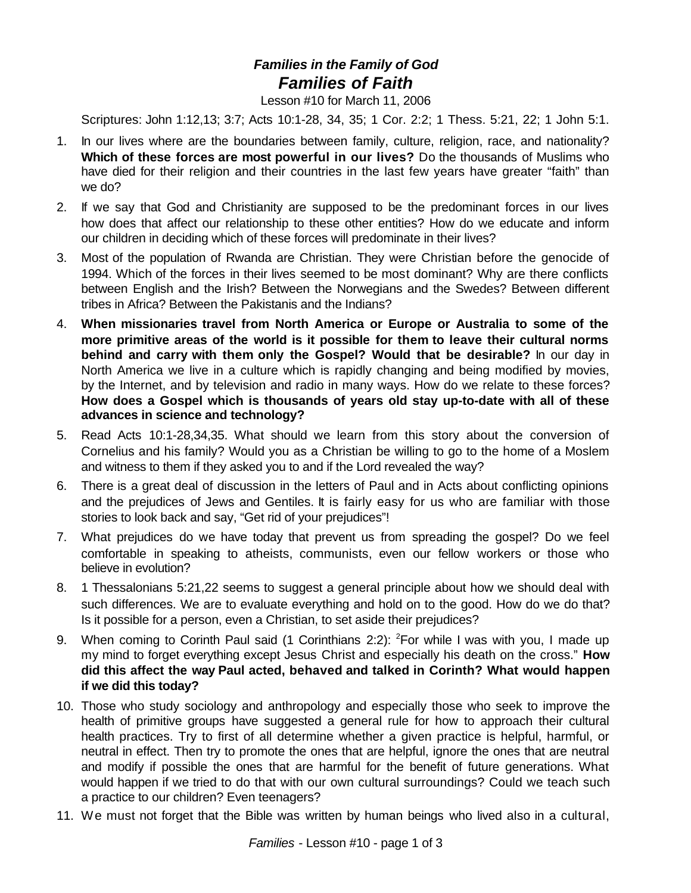## *Families in the Family of God Families of Faith*

Lesson #10 for March 11, 2006

Scriptures: John 1:12,13; 3:7; Acts 10:1-28, 34, 35; 1 Cor. 2:2; 1 Thess. 5:21, 22; 1 John 5:1.

- 1. In our lives where are the boundaries between family, culture, religion, race, and nationality? **Which of these forces are most powerful in our lives?** Do the thousands of Muslims who have died for their religion and their countries in the last few years have greater "faith" than we do?
- 2. If we say that God and Christianity are supposed to be the predominant forces in our lives how does that affect our relationship to these other entities? How do we educate and inform our children in deciding which of these forces will predominate in their lives?
- 3. Most of the population of Rwanda are Christian. They were Christian before the genocide of 1994. Which of the forces in their lives seemed to be most dominant? Why are there conflicts between English and the Irish? Between the Norwegians and the Swedes? Between different tribes in Africa? Between the Pakistanis and the Indians?
- 4. **When missionaries travel from North America or Europe or Australia to some of the more primitive areas of the world is it possible for them to leave their cultural norms behind and carry with them only the Gospel? Would that be desirable?** In our day in North America we live in a culture which is rapidly changing and being modified by movies, by the Internet, and by television and radio in many ways. How do we relate to these forces? **How does a Gospel which is thousands of years old stay up-to-date with all of these advances in science and technology?**
- 5. Read Acts 10:1-28,34,35. What should we learn from this story about the conversion of Cornelius and his family? Would you as a Christian be willing to go to the home of a Moslem and witness to them if they asked you to and if the Lord revealed the way?
- 6. There is a great deal of discussion in the letters of Paul and in Acts about conflicting opinions and the prejudices of Jews and Gentiles. It is fairly easy for us who are familiar with those stories to look back and say, "Get rid of your prejudices"!
- 7. What prejudices do we have today that prevent us from spreading the gospel? Do we feel comfortable in speaking to atheists, communists, even our fellow workers or those who believe in evolution?
- 8. 1 Thessalonians 5:21,22 seems to suggest a general principle about how we should deal with such differences. We are to evaluate everything and hold on to the good. How do we do that? Is it possible for a person, even a Christian, to set aside their prejudices?
- 9. When coming to Corinth Paul said (1 Corinthians 2:2): <sup>2</sup>For while I was with you, I made up my mind to forget everything except Jesus Christ and especially his death on the cross." **How did this affect the way Paul acted, behaved and talked in Corinth? What would happen if we did this today?**
- 10. Those who study sociology and anthropology and especially those who seek to improve the health of primitive groups have suggested a general rule for how to approach their cultural health practices. Try to first of all determine whether a given practice is helpful, harmful, or neutral in effect. Then try to promote the ones that are helpful, ignore the ones that are neutral and modify if possible the ones that are harmful for the benefit of future generations. What would happen if we tried to do that with our own cultural surroundings? Could we teach such a practice to our children? Even teenagers?
- 11. We must not forget that the Bible was written by human beings who lived also in a cultural,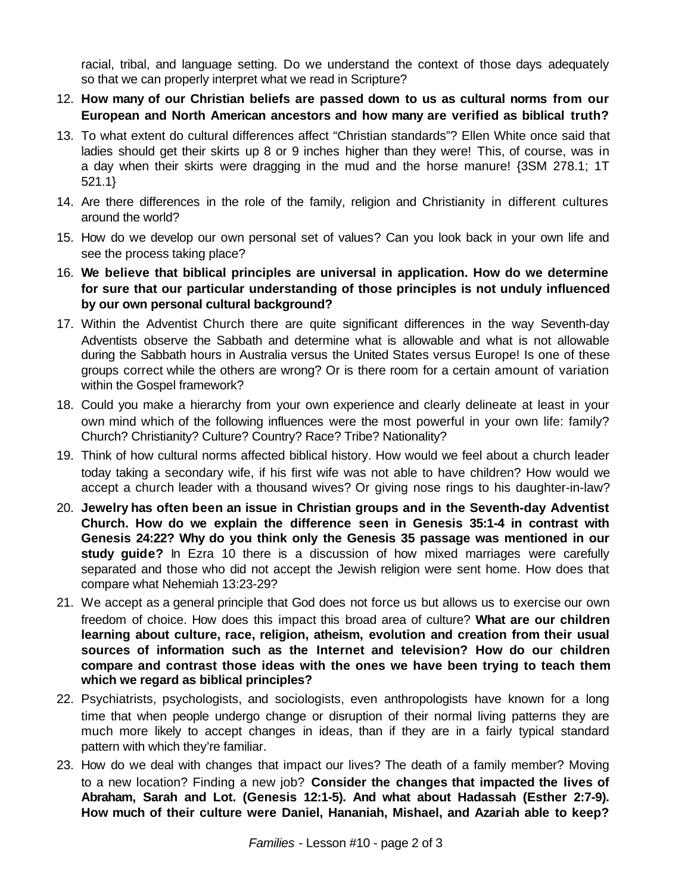racial, tribal, and language setting. Do we understand the context of those days adequately so that we can properly interpret what we read in Scripture?

- 12. **How many of our Christian beliefs are passed down to us as cultural norms from our European and North American ancestors and how many are verified as biblical truth?**
- 13. To what extent do cultural differences affect "Christian standards"? Ellen White once said that ladies should get their skirts up 8 or 9 inches higher than they were! This, of course, was in a day when their skirts were dragging in the mud and the horse manure! {3SM 278.1; 1T 521.1}
- 14. Are there differences in the role of the family, religion and Christianity in different cultures around the world?
- 15. How do we develop our own personal set of values? Can you look back in your own life and see the process taking place?
- 16. **We believe that biblical principles are universal in application. How do we determine for sure that our particular understanding of those principles is not unduly influenced by our own personal cultural background?**
- 17. Within the Adventist Church there are quite significant differences in the way Seventh-day Adventists observe the Sabbath and determine what is allowable and what is not allowable during the Sabbath hours in Australia versus the United States versus Europe! Is one of these groups correct while the others are wrong? Or is there room for a certain amount of variation within the Gospel framework?
- 18. Could you make a hierarchy from your own experience and clearly delineate at least in your own mind which of the following influences were the most powerful in your own life: family? Church? Christianity? Culture? Country? Race? Tribe? Nationality?
- 19. Think of how cultural norms affected biblical history. How would we feel about a church leader today taking a secondary wife, if his first wife was not able to have children? How would we accept a church leader with a thousand wives? Or giving nose rings to his daughter-in-law?
- 20. **Jewelry has often been an issue in Christian groups and in the Seventh-day Adventist Church. How do we explain the difference seen in Genesis 35:1-4 in contrast with Genesis 24:22? Why do you think only the Genesis 35 passage was mentioned in our study guide?** In Ezra 10 there is a discussion of how mixed marriages were carefully separated and those who did not accept the Jewish religion were sent home. How does that compare what Nehemiah 13:23-29?
- 21. We accept as a general principle that God does not force us but allows us to exercise our own freedom of choice. How does this impact this broad area of culture? **What are our children learning about culture, race, religion, atheism, evolution and creation from their usual sources of information such as the Internet and television? How do our children compare and contrast those ideas with the ones we have been trying to teach them which we regard as biblical principles?**
- 22. Psychiatrists, psychologists, and sociologists, even anthropologists have known for a long time that when people undergo change or disruption of their normal living patterns they are much more likely to accept changes in ideas, than if they are in a fairly typical standard pattern with which they're familiar.
- 23. How do we deal with changes that impact our lives? The death of a family member? Moving to a new location? Finding a new job? **Consider the changes that impacted the lives of Abraham, Sarah and Lot. (Genesis 12:1-5). And what about Hadassah (Esther 2:7-9). How much of their culture were Daniel, Hananiah, Mishael, and Azariah able to keep?**